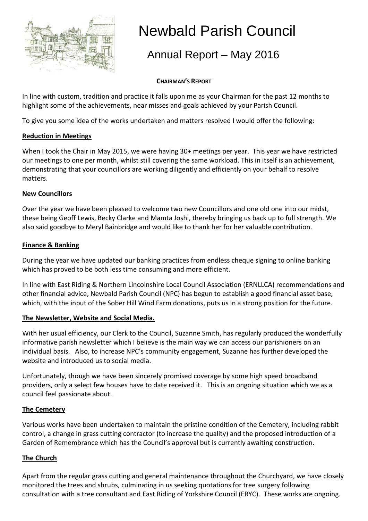

# Newbald Parish Council

## Annual Report – May 2016

#### **CHAIRMAN'S REPORT**

In line with custom, tradition and practice it falls upon me as your Chairman for the past 12 months to highlight some of the achievements, near misses and goals achieved by your Parish Council.

To give you some idea of the works undertaken and matters resolved I would offer the following:

#### **Reduction in Meetings**

When I took the Chair in May 2015, we were having 30+ meetings per year. This year we have restricted our meetings to one per month, whilst still covering the same workload. This in itself is an achievement, demonstrating that your councillors are working diligently and efficiently on your behalf to resolve matters.

#### **New Councillors**

Over the year we have been pleased to welcome two new Councillors and one old one into our midst, these being Geoff Lewis, Becky Clarke and Mamta Joshi, thereby bringing us back up to full strength. We also said goodbye to Meryl Bainbridge and would like to thank her for her valuable contribution.

#### **Finance & Banking**

During the year we have updated our banking practices from endless cheque signing to online banking which has proved to be both less time consuming and more efficient.

In line with East Riding & Northern Lincolnshire Local Council Association (ERNLLCA) recommendations and other financial advice, Newbald Parish Council (NPC) has begun to establish a good financial asset base, which, with the input of the Sober Hill Wind Farm donations, puts us in a strong position for the future.

#### **The Newsletter, Website and Social Media.**

With her usual efficiency, our Clerk to the Council, Suzanne Smith, has regularly produced the wonderfully informative parish newsletter which I believe is the main way we can access our parishioners on an individual basis. Also, to increase NPC's community engagement, Suzanne has further developed the website and introduced us to social media.

Unfortunately, though we have been sincerely promised coverage by some high speed broadband providers, only a select few houses have to date received it. This is an ongoing situation which we as a council feel passionate about.

#### **The Cemetery**

Various works have been undertaken to maintain the pristine condition of the Cemetery, including rabbit control, a change in grass cutting contractor (to increase the quality) and the proposed introduction of a Garden of Remembrance which has the Council's approval but is currently awaiting construction.

#### **The Church**

Apart from the regular grass cutting and general maintenance throughout the Churchyard, we have closely monitored the trees and shrubs, culminating in us seeking quotations for tree surgery following consultation with a tree consultant and East Riding of Yorkshire Council (ERYC). These works are ongoing.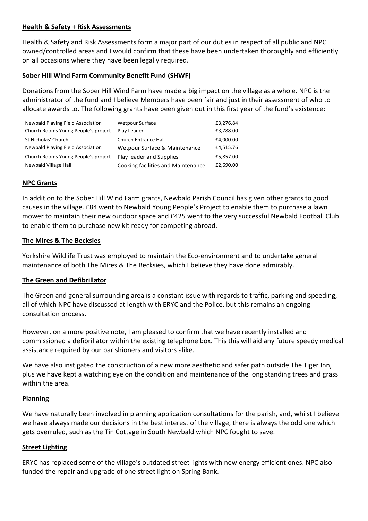#### **Health & Safety + Risk Assessments**

Health & Safety and Risk Assessments form a major part of our duties in respect of all public and NPC owned/controlled areas and I would confirm that these have been undertaken thoroughly and efficiently on all occasions where they have been legally required.

#### **Sober Hill Wind Farm Community Benefit Fund (SHWF)**

Donations from the Sober Hill Wind Farm have made a big impact on the village as a whole. NPC is the administrator of the fund and I believe Members have been fair and just in their assessment of who to allocate awards to. The following grants have been given out in this first year of the fund's existence:

| Newbald Playing Field Association   | <b>Wetpour Surface</b>             | £3,276.84 |
|-------------------------------------|------------------------------------|-----------|
| Church Rooms Young People's project | Play Leader                        | £3,788.00 |
| St Nicholas' Church                 | Church Entrance Hall               | £4,000.00 |
| Newbald Playing Field Association   | Wetpour Surface & Maintenance      | £4,515.76 |
| Church Rooms Young People's project | Play leader and Supplies           | £5,857.00 |
| Newbald Village Hall                | Cooking facilities and Maintenance | £2,690.00 |

#### **NPC Grants**

In addition to the Sober Hill Wind Farm grants, Newbald Parish Council has given other grants to good causes in the village. £84 went to Newbald Young People's Project to enable them to purchase a lawn mower to maintain their new outdoor space and £425 went to the very successful Newbald Football Club to enable them to purchase new kit ready for competing abroad.

#### **The Mires & The Becksies**

Yorkshire Wildlife Trust was employed to maintain the Eco-environment and to undertake general maintenance of both The Mires & The Becksies, which I believe they have done admirably.

#### **The Green and Defibrillator**

The Green and general surrounding area is a constant issue with regards to traffic, parking and speeding, all of which NPC have discussed at length with ERYC and the Police, but this remains an ongoing consultation process.

However, on a more positive note, I am pleased to confirm that we have recently installed and commissioned a defibrillator within the existing telephone box. This this will aid any future speedy medical assistance required by our parishioners and visitors alike.

We have also instigated the construction of a new more aesthetic and safer path outside The Tiger Inn, plus we have kept a watching eye on the condition and maintenance of the long standing trees and grass within the area.

#### **Planning**

We have naturally been involved in planning application consultations for the parish, and, whilst I believe we have always made our decisions in the best interest of the village, there is always the odd one which gets overruled, such as the Tin Cottage in South Newbald which NPC fought to save.

#### **Street Lighting**

ERYC has replaced some of the village's outdated street lights with new energy efficient ones. NPC also funded the repair and upgrade of one street light on Spring Bank.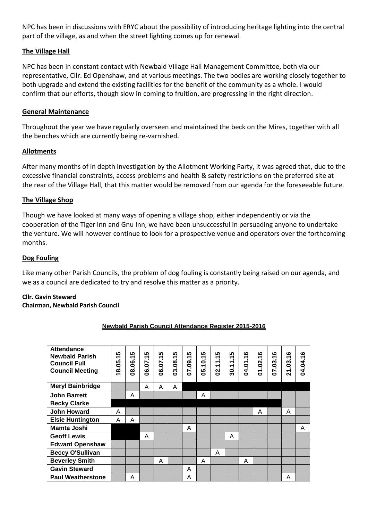NPC has been in discussions with ERYC about the possibility of introducing heritage lighting into the central part of the village, as and when the street lighting comes up for renewal.

#### **The Village Hall**

NPC has been in constant contact with Newbald Village Hall Management Committee, both via our representative, Cllr. Ed Openshaw, and at various meetings. The two bodies are working closely together to both upgrade and extend the existing facilities for the benefit of the community as a whole. I would confirm that our efforts, though slow in coming to fruition, are progressing in the right direction.

#### **General Maintenance**

Throughout the year we have regularly overseen and maintained the beck on the Mires, together with all the benches which are currently being re-varnished.

#### **Allotments**

After many months of in depth investigation by the Allotment Working Party, it was agreed that, due to the excessive financial constraints, access problems and health & safety restrictions on the preferred site at the rear of the Village Hall, that this matter would be removed from our agenda for the foreseeable future.

#### **The Village Shop**

Though we have looked at many ways of opening a village shop, either independently or via the cooperation of the Tiger Inn and Gnu Inn, we have been unsuccessful in persuading anyone to undertake the venture. We will however continue to look for a prospective venue and operators over the forthcoming months.

#### **Dog Fouling**

Like many other Parish Councils, the problem of dog fouling is constantly being raised on our agenda, and we as a council are dedicated to try and resolve this matter as a priority.

#### **Cllr. Gavin Steward**

#### **Chairman, Newbald Parish Council**

| <b>Attendance</b><br><b>Newbald Parish</b><br><b>Council Full</b><br><b>Council Meeting</b> | ທ<br>↽<br>18.05 | ທ<br>$\overline{\phantom{0}}$<br>08.06.1 | ທ<br>↽.<br>06.07 | ທ<br>$\overline{\mathbf{r}}$<br>06.07 | ທ<br>03.08.1 | ທ<br>07.09.1 | ທ<br>↽.<br>Ō<br>$\overline{\phantom{0}}$<br>ပ္သ | ທ<br>↽.<br>$\overline{\phantom{0}}$<br>$\overline{\phantom{0}}$<br>$\overline{2}$ | ທ<br>↽.<br>30.11 | ဖ<br>↽.<br>04.01 | ဖ<br>02.1<br>5 | ဖ<br>÷.<br>07.03. | ဖ<br>↽.<br>3.<br>21 | ဖ<br>04.04.1 |
|---------------------------------------------------------------------------------------------|-----------------|------------------------------------------|------------------|---------------------------------------|--------------|--------------|-------------------------------------------------|-----------------------------------------------------------------------------------|------------------|------------------|----------------|-------------------|---------------------|--------------|
| <b>Meryl Bainbridge</b>                                                                     |                 |                                          | A                | A                                     | A            |              |                                                 |                                                                                   |                  |                  |                |                   |                     |              |
| <b>John Barrett</b>                                                                         |                 | A                                        |                  |                                       |              |              | Α                                               |                                                                                   |                  |                  |                |                   |                     |              |
| <b>Becky Clarke</b>                                                                         |                 |                                          |                  |                                       |              |              |                                                 |                                                                                   |                  |                  |                |                   |                     |              |
| <b>John Howard</b>                                                                          | A               |                                          |                  |                                       |              |              |                                                 |                                                                                   |                  |                  | A              |                   | A                   |              |
| <b>Elsie Huntington</b>                                                                     | A               | A                                        |                  |                                       |              |              |                                                 |                                                                                   |                  |                  |                |                   |                     |              |
| <b>Mamta Joshi</b>                                                                          |                 |                                          |                  |                                       |              | A            |                                                 |                                                                                   |                  |                  |                |                   |                     | A            |
| <b>Geoff Lewis</b>                                                                          |                 |                                          | Α                |                                       |              |              |                                                 |                                                                                   | A                |                  |                |                   |                     |              |
| <b>Edward Openshaw</b>                                                                      |                 |                                          |                  |                                       |              |              |                                                 |                                                                                   |                  |                  |                |                   |                     |              |
| <b>Beccy O'Sullivan</b>                                                                     |                 |                                          |                  |                                       |              |              |                                                 | A                                                                                 |                  |                  |                |                   |                     |              |
| <b>Beverley Smith</b>                                                                       |                 |                                          |                  | A                                     |              |              | A                                               |                                                                                   |                  | A                |                |                   |                     |              |
| <b>Gavin Steward</b>                                                                        |                 |                                          |                  |                                       |              | A            |                                                 |                                                                                   |                  |                  |                |                   |                     |              |
| <b>Paul Weatherstone</b>                                                                    |                 | Α                                        |                  |                                       |              | Α            |                                                 |                                                                                   |                  |                  |                |                   | A                   |              |

#### **Newbald Parish Council Attendance Register 2015-2016**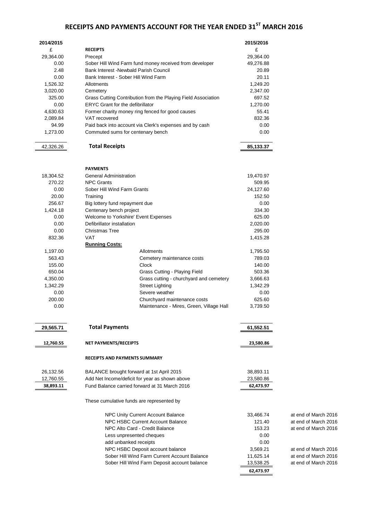### **RECEIPTS AND PAYMENTS ACCOUNT FOR THE YEAR ENDED 31ST MARCH 2016**

| 2014/2015 |                                                               | 2015/2016 |                      |
|-----------|---------------------------------------------------------------|-----------|----------------------|
| £         | <b>RECEIPTS</b>                                               | £         |                      |
| 29,364.00 | Precept                                                       | 29,364.00 |                      |
| 0.00      | Sober Hill Wind Farm fund money received from developer       | 49,276.88 |                      |
| 2.48      | Bank Interest - Newbald Parish Council                        | 20.89     |                      |
| 0.00      | Bank Interest - Sober Hill Wind Farm                          | 20.11     |                      |
| 1,526.32  | Allotments                                                    | 1,249.20  |                      |
| 3,020.00  | Cemetery                                                      | 2,347.00  |                      |
| 325.00    | Grass Cutting Contribution from the Playing Field Association | 697.52    |                      |
| 0.00      | <b>ERYC Grant for the defibrillator</b>                       | 1,270.00  |                      |
| 4,630.63  | Former charity money ring fenced for good causes              | 55.41     |                      |
| 2,089.84  | VAT recovered                                                 | 832.36    |                      |
| 94.99     | Paid back into account via Clerk's expenses and by cash       | 0.00      |                      |
| 1,273.00  | Commuted sums for centenary bench                             | 0.00      |                      |
| 42,326.26 | <b>Total Receipts</b>                                         | 85,133.37 |                      |
|           | <b>PAYMENTS</b>                                               |           |                      |
| 18,304.52 | <b>General Administration</b>                                 | 19,470.97 |                      |
| 270.22    | <b>NPC Grants</b>                                             | 509.95    |                      |
| 0.00      | Sober Hill Wind Farm Grants                                   | 24,127.60 |                      |
| 20.00     | Training                                                      | 152.50    |                      |
| 256.67    | Big lottery fund repayment due                                | 0.00      |                      |
| 1,424.18  | Centenary bench project                                       | 334.30    |                      |
| 0.00      | Welcome to Yorkshire' Event Expenses                          | 625.00    |                      |
| 0.00      | Defibrillator installation                                    | 2,020.00  |                      |
| 0.00      | <b>Christmas Tree</b>                                         | 295.00    |                      |
| 832.36    | VAT                                                           | 1,415.28  |                      |
|           | <b>Running Costs:</b>                                         |           |                      |
| 1,197.00  | Allotments                                                    | 1,795.50  |                      |
| 563.43    | Cemetery maintenance costs                                    | 789.03    |                      |
| 155.00    | Clock                                                         | 140.00    |                      |
| 650.04    | Grass Cutting - Playing Field                                 | 503.36    |                      |
| 4,350.00  | Grass cutting - churchyard and cemetery                       | 3,666.63  |                      |
| 1,342.29  | <b>Street Lighting</b>                                        | 1,342.29  |                      |
| 0.00      | Severe weather                                                | 0.00      |                      |
| 200.00    | Churchyard maintenance costs                                  | 625.60    |                      |
| 0.00      | Maintenance - Mires, Green, Village Hall                      | 3,739.50  |                      |
|           |                                                               |           |                      |
| 29,565.71 | <b>Total Payments</b>                                         | 61,552.51 |                      |
| 12,760.55 | NET PAYMENTS/RECEIPTS                                         | 23,580.86 |                      |
|           | <b>RECEIPTS AND PAYMENTS SUMMARY</b>                          |           |                      |
| 26,132.56 | BALANCE brought forward at 1st April 2015                     | 38,893.11 |                      |
| 12,760.55 | Add Net Income/deficit for year as shown above                | 23,580.86 |                      |
| 38,893.11 | Fund Balance carried forward at 31 March 2016                 | 62,473.97 |                      |
|           | These cumulative funds are represented by                     |           |                      |
|           | NPC Unity Current Account Balance                             | 33,466.74 | at end of March 2016 |
|           | NPC HSBC Current Account Balance                              | 121.40    | at end of March 2016 |
|           | NPC Alto Card - Credit Balance                                | 153.23    | at end of March 2016 |
|           | Less unpresented cheques                                      | 0.00      |                      |
|           | add unbanked receipts                                         | 0.00      |                      |
|           | NPC HSBC Deposit account balance                              | 3,569.21  | at end of March 2016 |
|           | Sober Hill Wind Farm Current Account Balance                  | 11,625.14 | at end of March 2016 |
|           | Sober Hill Wind Farm Deposit account balance                  | 13,538.25 | at end of March 2016 |
|           |                                                               | 62,473.97 |                      |